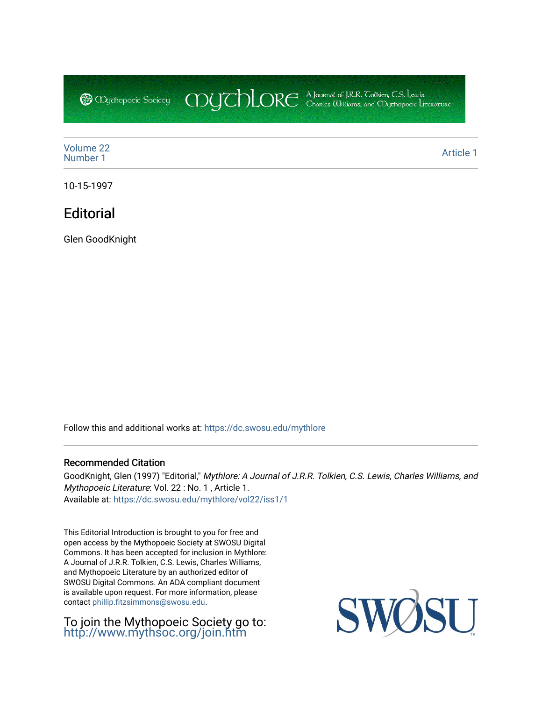COUCHORE A Journal of J.R.R. Colkien, C.S. Leuris, **@** Mychopoeic Sociecy

[Volume 22](https://dc.swosu.edu/mythlore/vol22)<br>Number 1 [Number 1](https://dc.swosu.edu/mythlore/vol22/iss1) [Article 1](https://dc.swosu.edu/mythlore/vol22/iss1/1) Article 1 Article 1 Article 1 Article 1 Article 1 Article 1 Article 1 Article 1 Article 1 Article 1 Article 1 Article 1 Article 1 Article 1 Article 1 Article 1 Article 1 Article 1 Article 1 Article 1 Art

10-15-1997

# **Editorial**

Glen GoodKnight

Follow this and additional works at: [https://dc.swosu.edu/mythlore](https://dc.swosu.edu/mythlore?utm_source=dc.swosu.edu%2Fmythlore%2Fvol22%2Fiss1%2F1&utm_medium=PDF&utm_campaign=PDFCoverPages) 

### Recommended Citation

GoodKnight, Glen (1997) "Editorial," Mythlore: A Journal of J.R.R. Tolkien, C.S. Lewis, Charles Williams, and Mythopoeic Literature: Vol. 22 : No. 1 , Article 1. Available at: [https://dc.swosu.edu/mythlore/vol22/iss1/1](https://dc.swosu.edu/mythlore/vol22/iss1/1?utm_source=dc.swosu.edu%2Fmythlore%2Fvol22%2Fiss1%2F1&utm_medium=PDF&utm_campaign=PDFCoverPages) 

This Editorial Introduction is brought to you for free and open access by the Mythopoeic Society at SWOSU Digital Commons. It has been accepted for inclusion in Mythlore: A Journal of J.R.R. Tolkien, C.S. Lewis, Charles Williams, and Mythopoeic Literature by an authorized editor of SWOSU Digital Commons. An ADA compliant document is available upon request. For more information, please contact [phillip.fitzsimmons@swosu.edu.](mailto:phillip.fitzsimmons@swosu.edu)

To join the Mythopoeic Society go to: <http://www.mythsoc.org/join.htm>

SU SWO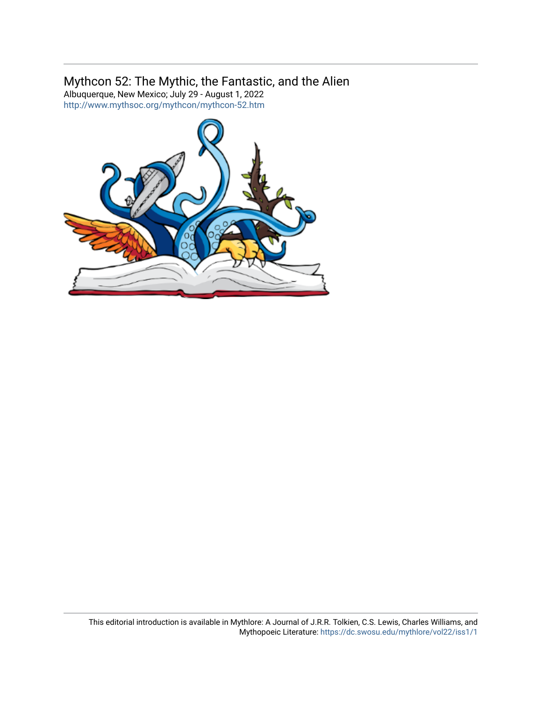# Mythcon 52: The Mythic, the Fantastic, and the Alien

Albuquerque, New Mexico; July 29 - August 1, 2022 <http://www.mythsoc.org/mythcon/mythcon-52.htm>

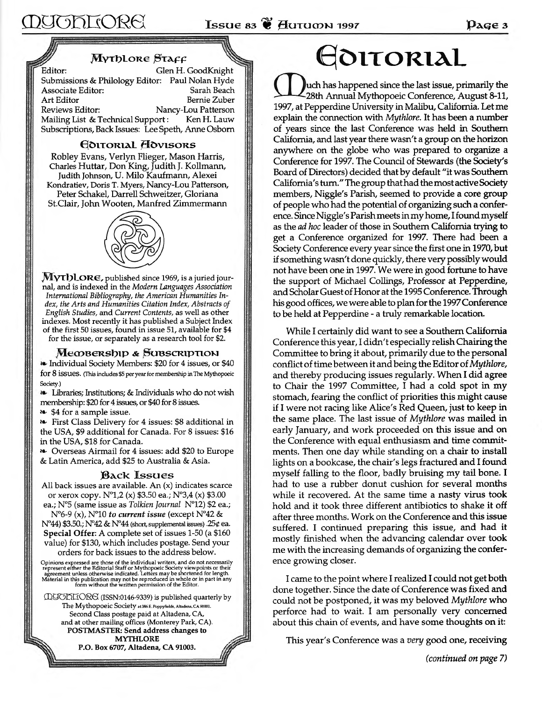## *M y t h l o r e S t a f f*

Editor: Glen H. GoodKnight Submissions & Philology Editor: Paul Nolan Hyde Associate Editor: Sarah Beach Art Editor Bernie Zuber Reviews Editor: Nancy-Lou Patterson Mailing List & Technical Support: Ken H. Lauw Subscriptions, Back Issues: Lee Speth, Anne Osborn

## **EDITORIAL HOVISORS**

Robley Evans, Verlyn Flieger, Mason Harris, Charles Huttar, Don King, Judith J. Kollmann, Judith Johnson, U. Milo Kaufmann, Alexei Kondratiev, Doris T. Myers, Nancy-Lou Patterson, Peter Schakel, Darrell Schweitzer, Gloriana St.Clair, John Wooten, Manfred Zimmermann



**MyThLORE, published since 1969, is a juried journal, and is indexed in the** *M odem Languages Association International Bibliography, the American Humanities Index, the Arts and Humanities Citation Index, Abstracts of English Studies,* **and** *Current Contents,* **as well as other indexes. Most recently it has published a Subject Index of the first 50 issues, found in issue 51, available for \$4 for the issue, or separately as a research tool for \$2.**

#### Meobership & Subscription

Individual Society Members: \$20 for 4 issues, or \$40 for  $8$  issues. (This includes  $$5$  per year for membership in The Mythopoeic Society.)

Libraries; Institutions; & Individuals who do not wish membership: \$20 for 4 issues, or \$40 for 8 issues.

\*\* \$4 for a sample issue.

*\*\*■* First Class Delivery for 4 issues: \$8 additional in the USA, \$9 additional for Canada. For 8 issues: \$16 in the USA, \$18 for Canada.

>\*• Overseas Airmail for 4 issues: add \$20 to Europe & Latin America, add \$25 to Australia & Asia.

### **B**ack **Issues**

All back issues are available. An (x) indicates scarce or xerox copy.  $N^{\circ}1,2(x)$  \$3.50 ea.;  $N^{\circ}3,4(x)$  \$3.00 ea.; N°5 (same issue as *Tolkien Journal* N°12) \$2 ea.;

N°6-9 (x), N°10 *to current issue* (except N°42 & N°44) \$3.50.; N°42 & N°44 (short, supplemental issues) .25 $\varphi$  ea.

**Special Offer:** A complete set of issues 1-50 (a \$160 value) for \$130, which includes postage. Send your orders for back issues to the address below.

Opinions expressed are those of the individual writers, and do not necessarily represent either the Editorial Staff or Mythopoeic Society viewpoints or their agreement unless otherwise indicated. Letters may be shortened f

 $\square$  UCOKIORE (ISSN:0146-9339) is published quarterly by The Mythopoeic Society at 386 E. Poppyfields, Altadena, CA 91001. Second Class postage paid at Altadena, CA, and at other mailing offices (Monterey Park, CA). **POSTMASTER: Send address changes to MYTHLORE P.O. Box 6707, Altadena, CA 91003.** 

# **Editorial**

 $\parallel$ uch has happened since the last issue, primarily the -28th Annual Mythopoeic Conference, August 8-11, 1997, at Pepperdine University in Malibu, California. Let me explain the connection with *Mythlore*. It has been a number of years since the last Conference was held in Southern California, and last year there wasn't a group on the horizon anywhere on the globe who was prepared to organize a Conference for 1997. The Council of Stewards (the Society's Board of Directors) decided that by default "it was Southern California's turn." The group that had the most active Society members, Niggle's Parish, seemed to provide a core group of people who had the potential of organizing such a conference. Since Niggle's Parish meets in my home, I found myself as the *ad hoc* leader of those in Southern California trying to get a Conference organized for 1997. There had been a Society Conference every year since the first one in 1970, but if something wasn't done quickly, there very possibly would not have been one in 1997. We were in good fortune to have the support of Michael Collings, Professor at Pepperdine, and Scholar Guest of Honor at the 1995 Conference. Through his good offices, we were able to plan for the 1997 Conference to be held at Pepperdine - a truly remarkable location.

While I certainly did want to see a Southern California Conference this year, I didn't especially relish Chairing the Committee to bring it about, prim arily due to the personal conflict of time betw een it and being the Editor of *Mythlore,* and thereby producing issues regularly. W hen I did agree to Chair the 1997 Committee, I had a cold spot in my stomach, fearing the conflict of priorities this might cause if I were not racing like Alice's Red Queen, just to keep in the same place. The last issue of *Mythlore* was mailed in early January, and work proceeded on this issue and on the Conference with equal enthusiasm and time commitments. Then one day while standing on a chair to install lights on a bookcase, the chair's legs fractured and I found myself falling to the floor, badly bruising my tail bone. I had to use a rubber donut cushion for several months while it recovered. At the same time a nasty virus took hold and it took three different antibiotics to shake it off after three months. Work on the Conference and this issue suffered. I continued preparing this issue, and had it mostly finished when the advancing calendar over took me with the increasing demands of organizing the conference growing closer.

I came to the point where I realized I could not get both done together. Since the date of Conference was fixed and could not be postponed, it was my beloved *Mythlore* who perforce had to wait. I am personally very concerned about this chain of events, and have some thoughts on it:

This year's Conference was a *very* good one, receiving

*(continued on page 7)*